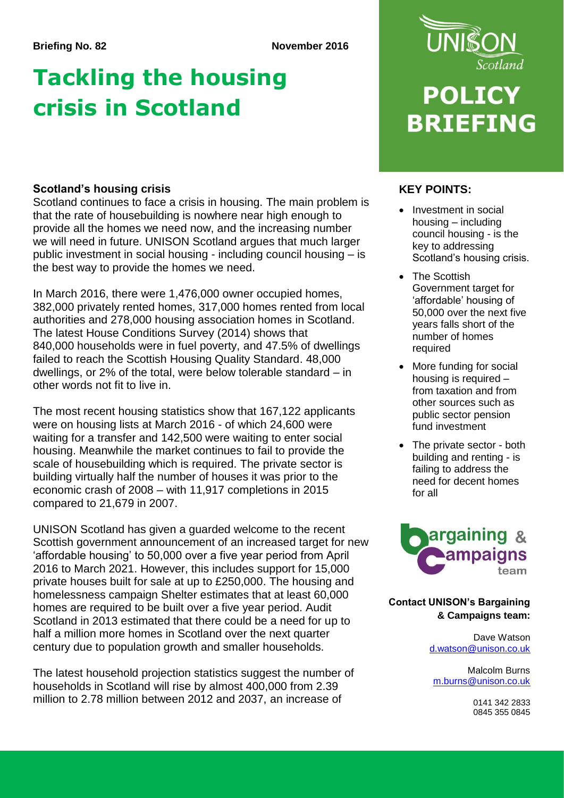## **Briefing No. 82 November 2016**

## **Tackling the housing crisis in Scotland**

## **KEY POINTS: Scotland's housing crisis**

Scotland continues to face a crisis in housing. The main problem is that the rate of housebuilding is nowhere near high enough to provide all the homes we need now, and the increasing number we will need in future. UNISON Scotland argues that much larger public investment in social housing - including council housing – is the best way to provide the homes we need.

In March 2016, there were 1,476,000 owner occupied homes, 382,000 privately rented homes, 317,000 homes rented from local authorities and 278,000 housing association homes in Scotland. The latest House Conditions Survey (2014) shows that 840,000 households were in fuel poverty, and 47.5% of dwellings failed to reach the Scottish Housing Quality Standard. 48,000 dwellings, or 2% of the total, were below tolerable standard – in other words not fit to live in.

The most recent housing statistics show that 167,122 applicants were on housing lists at March 2016 - of which 24,600 were waiting for a transfer and 142,500 were waiting to enter social housing. Meanwhile the market continues to fail to provide the scale of housebuilding which is required. The private sector is building virtually half the number of houses it was prior to the economic crash of 2008 – with 11,917 completions in 2015 compared to 21,679 in 2007.

UNISON Scotland has given a guarded welcome to the recent Scottish government announcement of an increased target for new 'affordable housing' to 50,000 over a five year period from April 2016 to March 2021. However, this includes support for 15,000 private houses built for sale at up to £250,000. The housing and homelessness campaign Shelter estimates that at least 60,000 homes are required to be built over a five year period. Audit Scotland in 2013 estimated that there could be a need for up to half a million more homes in Scotland over the next quarter century due to population growth and smaller households.

The latest household projection statistics suggest the number of households in Scotland will rise by almost 400,000 from 2.39 million to 2.78 million between 2012 and 2037, an increase of



# **POLICY BRIEFING**

- Investment in social housing – including council housing - is the key to addressing Scotland's housing crisis.
- The Scottish Government target for 'affordable' housing of 50,000 over the next five years falls short of the number of homes required
- More funding for social housing is required – from taxation and from other sources such as public sector pension fund investment
- The private sector both building and renting - is failing to address the need for decent homes for all



## **Contact UNISON's Bargaining & Campaigns team:**

Dave Watson [d.watson@unison.co.uk](mailto:d.watson@unison.co.uk)

Malcolm Burns [m.burns@unison.co.uk](mailto:m.burns@unison.co.uk)

> 0141 342 2833 0845 355 0845